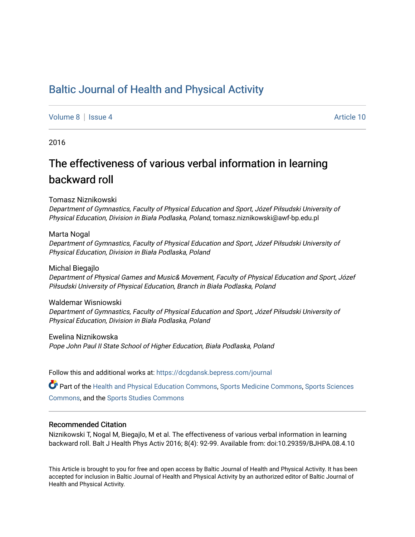# [Baltic Journal of Health and Physical Activity](https://dcgdansk.bepress.com/journal)

[Volume 8](https://dcgdansk.bepress.com/journal/vol8) | [Issue 4](https://dcgdansk.bepress.com/journal/vol8/iss4) Article 10

2016

# The effectiveness of various verbal information in learning backward roll

Tomasz Niznikowski

Department of Gymnastics, Faculty of Physical Education and Sport, Józef Piłsudski University of Physical Education, Division in Biała Podlaska, Poland, tomasz.niznikowski@awf-bp.edu.pl

#### Marta Nogal

Department of Gymnastics, Faculty of Physical Education and Sport, Józef Piłsudski University of Physical Education, Division in Biała Podlaska, Poland

Michal Biegajlo Department of Physical Games and Music& Movement, Faculty of Physical Education and Sport, Józef Piłsudski University of Physical Education, Branch in Biała Podlaska, Poland

Waldemar Wisniowski Department of Gymnastics, Faculty of Physical Education and Sport, Józef Piłsudski University of Physical Education, Division in Biała Podlaska, Poland

Ewelina Niznikowska Pope John Paul II State School of Higher Education, Biała Podlaska, Poland

Follow this and additional works at: [https://dcgdansk.bepress.com/journal](https://dcgdansk.bepress.com/journal?utm_source=dcgdansk.bepress.com%2Fjournal%2Fvol8%2Fiss4%2F10&utm_medium=PDF&utm_campaign=PDFCoverPages)

Part of the [Health and Physical Education Commons](http://network.bepress.com/hgg/discipline/1327?utm_source=dcgdansk.bepress.com%2Fjournal%2Fvol8%2Fiss4%2F10&utm_medium=PDF&utm_campaign=PDFCoverPages), [Sports Medicine Commons,](http://network.bepress.com/hgg/discipline/1331?utm_source=dcgdansk.bepress.com%2Fjournal%2Fvol8%2Fiss4%2F10&utm_medium=PDF&utm_campaign=PDFCoverPages) [Sports Sciences](http://network.bepress.com/hgg/discipline/759?utm_source=dcgdansk.bepress.com%2Fjournal%2Fvol8%2Fiss4%2F10&utm_medium=PDF&utm_campaign=PDFCoverPages) [Commons](http://network.bepress.com/hgg/discipline/759?utm_source=dcgdansk.bepress.com%2Fjournal%2Fvol8%2Fiss4%2F10&utm_medium=PDF&utm_campaign=PDFCoverPages), and the [Sports Studies Commons](http://network.bepress.com/hgg/discipline/1198?utm_source=dcgdansk.bepress.com%2Fjournal%2Fvol8%2Fiss4%2F10&utm_medium=PDF&utm_campaign=PDFCoverPages) 

### Recommended Citation

Niznikowski T, Nogal M, Biegajlo, M et al. The effectiveness of various verbal information in learning backward roll. Balt J Health Phys Activ 2016; 8(4): 92-99. Available from: doi:10.29359/BJHPA.08.4.10

This Article is brought to you for free and open access by Baltic Journal of Health and Physical Activity. It has been accepted for inclusion in Baltic Journal of Health and Physical Activity by an authorized editor of Baltic Journal of Health and Physical Activity.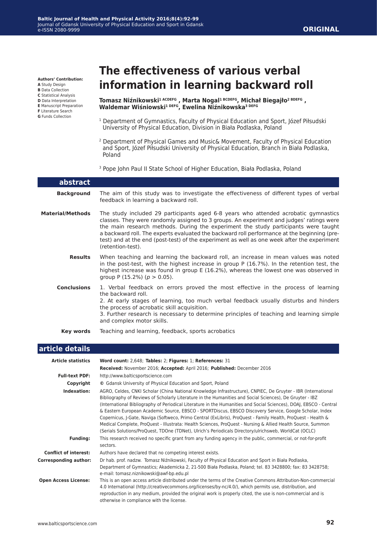#### **Authors' Contribution:**

**A** Study Design **B** Data Collection

**C** Statistical Analysis

**D** Data Interpretation

- **E** Manuscript Preparation
- **F** Literature Search
- **G** Funds Collection

# **The effectiveness of various verbal information in learning backward roll**

**Tomasz Niźnikowski1 ACDEFG , Marta Nogal1 BCDEFG, Michał Biegajło2 BDEFG , Waldemar Wiśniowski1 DEFG, Ewelina Niźnikowska3 DEFG**

- <sup>1</sup> Department of Gymnastics, Faculty of Physical Education and Sport, Józef Piłsudski University of Physical Education, Division in Biała Podlaska, Poland
- 2 Department of Physical Games and Music& Movement, Faculty of Physical Education and Sport, Józef Piłsudski University of Physical Education, Branch in Biała Podlaska, Poland
- <sup>3</sup> Pope John Paul II State School of Higher Education, Biała Podlaska, Poland

| abstract                |                                                                                                                                                                                                                                                                                                                                                                                                                                                                                           |
|-------------------------|-------------------------------------------------------------------------------------------------------------------------------------------------------------------------------------------------------------------------------------------------------------------------------------------------------------------------------------------------------------------------------------------------------------------------------------------------------------------------------------------|
| <b>Background</b>       | The aim of this study was to investigate the effectiveness of different types of verbal<br>feedback in learning a backward roll.                                                                                                                                                                                                                                                                                                                                                          |
| <b>Material/Methods</b> | The study included 29 participants aged 6-8 years who attended acrobatic gymnastics<br>classes. They were randomly assigned to 3 groups. An experiment and judges' ratings were<br>the main research methods. During the experiment the study participants were taught<br>a backward roll. The experts evaluated the backward roll performance at the beginning (pre-<br>test) and at the end (post-test) of the experiment as well as one week after the experiment<br>(retention-test). |
| <b>Results</b>          | When teaching and learning the backward roll, an increase in mean values was noted<br>in the post-test, with the highest increase in group $P(16.7\%)$ . In the retention test, the<br>highest increase was found in group E (16.2%), whereas the lowest one was observed in<br>group P $(15.2\%)$ ( $p > 0.05$ ).                                                                                                                                                                        |
| <b>Conclusions</b>      | 1. Verbal feedback on errors proved the most effective in the process of learning<br>the backward roll.<br>2. At early stages of learning, too much verbal feedback usually disturbs and hinders<br>the process of acrobatic skill acquisition.<br>3. Further research is necessary to determine principles of teaching and learning simple<br>and complex motor skills.                                                                                                                  |
| Key words               | Teaching and learning, feedback, sports acrobatics                                                                                                                                                                                                                                                                                                                                                                                                                                        |

## **article details**

| <b>Article statistics</b>    | Word count: 2,648; Tables: 2; Figures: 1; References: 31                                                                                                                                                                                                                                                                                                                                                                                                                                                                                                                                                                                                                                                                                                                                             |  |  |  |
|------------------------------|------------------------------------------------------------------------------------------------------------------------------------------------------------------------------------------------------------------------------------------------------------------------------------------------------------------------------------------------------------------------------------------------------------------------------------------------------------------------------------------------------------------------------------------------------------------------------------------------------------------------------------------------------------------------------------------------------------------------------------------------------------------------------------------------------|--|--|--|
|                              | Received: November 2016; Accepted: April 2016; Published: December 2016                                                                                                                                                                                                                                                                                                                                                                                                                                                                                                                                                                                                                                                                                                                              |  |  |  |
| <b>Full-text PDF:</b>        | http://www.balticsportscience.com                                                                                                                                                                                                                                                                                                                                                                                                                                                                                                                                                                                                                                                                                                                                                                    |  |  |  |
| Copyright                    | © Gdansk University of Physical Education and Sport, Poland                                                                                                                                                                                                                                                                                                                                                                                                                                                                                                                                                                                                                                                                                                                                          |  |  |  |
| Indexation:                  | AGRO, Celdes, CNKI Scholar (China National Knowledge Infrastructure), CNPIEC, De Gruyter - IBR (International<br>Bibliography of Reviews of Scholarly Literature in the Humanities and Social Sciences), De Gruyter - IBZ<br>(International Bibliography of Periodical Literature in the Humanities and Social Sciences), DOAJ, EBSCO - Central<br>& Eastern European Academic Source, EBSCO - SPORTDiscus, EBSCO Discovery Service, Google Scholar, Index<br>Copernicus, J-Gate, Naviga (Softweco, Primo Central (ExLibris), ProQuest - Family Health, ProQuest - Health &<br>Medical Complete, ProQuest - Illustrata: Health Sciences, ProQuest - Nursing & Allied Health Source, Summon<br>(Serials Solutions/ProQuest, TDOne (TDNet), Ulrich's Periodicals Directory/ulrichsweb, WorldCat (OCLC) |  |  |  |
| <b>Funding:</b>              | This research received no specific grant from any funding agency in the public, commercial, or not-for-profit<br>sectors.                                                                                                                                                                                                                                                                                                                                                                                                                                                                                                                                                                                                                                                                            |  |  |  |
| <b>Conflict of interest:</b> | Authors have declared that no competing interest exists.                                                                                                                                                                                                                                                                                                                                                                                                                                                                                                                                                                                                                                                                                                                                             |  |  |  |
| <b>Corresponding author:</b> | Dr hab. prof. nadzw. Tomasz Niźnikowski, Faculty of Physical Education and Sport in Biała Podlaska,<br>Department of Gymnastics; Akademicka 2, 21-500 Biała Podlaska, Poland; tel. 83 3428800; fax: 83 3428758;<br>e-mail: tomasz.niznikowski@awf-bp.edu.pl                                                                                                                                                                                                                                                                                                                                                                                                                                                                                                                                          |  |  |  |
| <b>Open Access License:</b>  | This is an open access article distributed under the terms of the Creative Commons Attribution-Non-commercial<br>4.0 International (http://creativecommons.org/licenses/by-nc/4.0/), which permits use, distribution, and<br>reproduction in any medium, provided the original work is properly cited, the use is non-commercial and is<br>otherwise in compliance with the license.                                                                                                                                                                                                                                                                                                                                                                                                                 |  |  |  |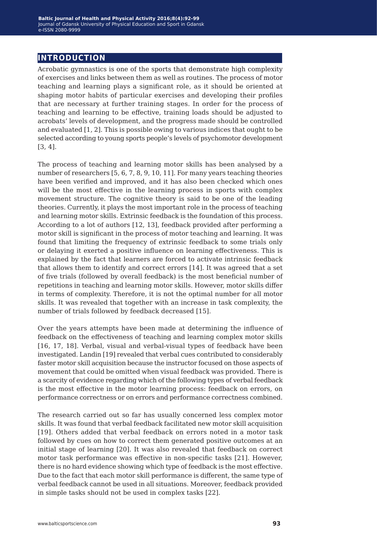# **introduction**

Acrobatic gymnastics is one of the sports that demonstrate high complexity of exercises and links between them as well as routines. The process of motor teaching and learning plays a significant role, as it should be oriented at shaping motor habits of particular exercises and developing their profiles that are necessary at further training stages. In order for the process of teaching and learning to be effective, training loads should be adjusted to acrobats' levels of development, and the progress made should be controlled and evaluated [1, 2]. This is possible owing to various indices that ought to be selected according to young sports people's levels of psychomotor development [3, 4].

The process of teaching and learning motor skills has been analysed by a number of researchers [5, 6, 7, 8, 9, 10, 11]. For many years teaching theories have been verified and improved, and it has also been checked which ones will be the most effective in the learning process in sports with complex movement structure. The cognitive theory is said to be one of the leading theories. Currently, it plays the most important role in the process of teaching and learning motor skills. Extrinsic feedback is the foundation of this process. According to a lot of authors [12, 13], feedback provided after performing a motor skill is significant in the process of motor teaching and learning. It was found that limiting the frequency of extrinsic feedback to some trials only or delaying it exerted a positive influence on learning effectiveness. This is explained by the fact that learners are forced to activate intrinsic feedback that allows them to identify and correct errors [14]. It was agreed that a set of five trials (followed by overall feedback) is the most beneficial number of repetitions in teaching and learning motor skills. However, motor skills differ in terms of complexity. Therefore, it is not the optimal number for all motor skills. It was revealed that together with an increase in task complexity, the number of trials followed by feedback decreased [15].

Over the years attempts have been made at determining the influence of feedback on the effectiveness of teaching and learning complex motor skills [16, 17, 18]. Verbal, visual and verbal-visual types of feedback have been investigated. Landin [19] revealed that verbal cues contributed to considerably faster motor skill acquisition because the instructor focused on those aspects of movement that could be omitted when visual feedback was provided. There is a scarcity of evidence regarding which of the following types of verbal feedback is the most effective in the motor learning process: feedback on errors, on performance correctness or on errors and performance correctness combined.

The research carried out so far has usually concerned less complex motor skills. It was found that verbal feedback facilitated new motor skill acquisition [19]. Others added that verbal feedback on errors noted in a motor task followed by cues on how to correct them generated positive outcomes at an initial stage of learning [20]. It was also revealed that feedback on correct motor task performance was effective in non-specific tasks [21]. However, there is no hard evidence showing which type of feedback is the most effective. Due to the fact that each motor skill performance is different, the same type of verbal feedback cannot be used in all situations. Moreover, feedback provided in simple tasks should not be used in complex tasks [22].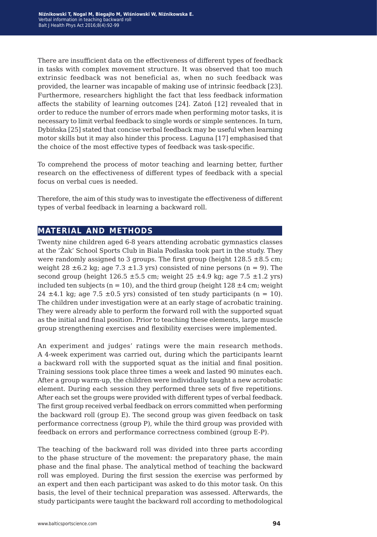There are insufficient data on the effectiveness of different types of feedback in tasks with complex movement structure. It was observed that too much extrinsic feedback was not beneficial as, when no such feedback was provided, the learner was incapable of making use of intrinsic feedback [23]. Furthermore, researchers highlight the fact that less feedback information affects the stability of learning outcomes [24]. Zatoń [12] revealed that in order to reduce the number of errors made when performing motor tasks, it is necessary to limit verbal feedback to single words or simple sentences. In turn, Dybińska [25] stated that concise verbal feedback may be useful when learning motor skills but it may also hinder this process. Laguna [17] emphasised that the choice of the most effective types of feedback was task-specific.

To comprehend the process of motor teaching and learning better, further research on the effectiveness of different types of feedback with a special focus on verbal cues is needed.

Therefore, the aim of this study was to investigate the effectiveness of different types of verbal feedback in learning a backward roll.

# **material and methods**

Twenty nine children aged 6-8 years attending acrobatic gymnastics classes at the 'Żak' School Sports Club in Biala Podlaska took part in the study. They were randomly assigned to 3 groups. The first group (height  $128.5 \pm 8.5$  cm; weight 28  $\pm$ 6.2 kg; age 7.3  $\pm$ 1.3 yrs) consisted of nine persons (n = 9). The second group (height  $126.5 \pm 5.5$  cm; weight  $25 \pm 4.9$  kg; age  $7.5 \pm 1.2$  yrs) included ten subjects ( $n = 10$ ), and the third group (height  $128 \pm 4$  cm; weight 24  $\pm$ 4.1 kg; age 7.5  $\pm$ 0.5 yrs) consisted of ten study participants (n = 10). The children under investigation were at an early stage of acrobatic training. They were already able to perform the forward roll with the supported squat as the initial and final position. Prior to teaching these elements, large muscle group strengthening exercises and flexibility exercises were implemented.

An experiment and judges' ratings were the main research methods. A 4-week experiment was carried out, during which the participants learnt a backward roll with the supported squat as the initial and final position. Training sessions took place three times a week and lasted 90 minutes each. After a group warm-up, the children were individually taught a new acrobatic element. During each session they performed three sets of five repetitions. After each set the groups were provided with different types of verbal feedback. The first group received verbal feedback on errors committed when performing the backward roll (group E). The second group was given feedback on task performance correctness (group P), while the third group was provided with feedback on errors and performance correctness combined (group E-P).

The teaching of the backward roll was divided into three parts according to the phase structure of the movement: the preparatory phase, the main phase and the final phase. The analytical method of teaching the backward roll was employed. During the first session the exercise was performed by an expert and then each participant was asked to do this motor task. On this basis, the level of their technical preparation was assessed. Afterwards, the study participants were taught the backward roll according to methodological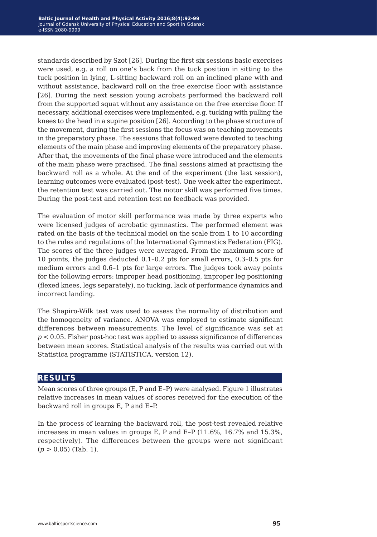standards described by Szot [26]. During the first six sessions basic exercises were used, e.g. a roll on one's back from the tuck position in sitting to the tuck position in lying, L-sitting backward roll on an inclined plane with and without assistance, backward roll on the free exercise floor with assistance [26]. During the next session young acrobats performed the backward roll from the supported squat without any assistance on the free exercise floor. If necessary, additional exercises were implemented, e.g. tucking with pulling the knees to the head in a supine position [26]. According to the phase structure of the movement, during the first sessions the focus was on teaching movements in the preparatory phase. The sessions that followed were devoted to teaching elements of the main phase and improving elements of the preparatory phase. After that, the movements of the final phase were introduced and the elements of the main phase were practised. The final sessions aimed at practising the backward roll as a whole. At the end of the experiment (the last session), learning outcomes were evaluated (post-test). One week after the experiment, the retention test was carried out. The motor skill was performed five times. During the post-test and retention test no feedback was provided.

The evaluation of motor skill performance was made by three experts who were licensed judges of acrobatic gymnastics. The performed element was rated on the basis of the technical model on the scale from 1 to 10 according to the rules and regulations of the International Gymnastics Federation (FIG). The scores of the three judges were averaged. From the maximum score of 10 points, the judges deducted 0.1–0.2 pts for small errors, 0.3–0.5 pts for medium errors and 0.6–1 pts for large errors. The judges took away points for the following errors: improper head positioning, improper leg positioning (flexed knees, legs separately), no tucking, lack of performance dynamics and incorrect landing.

The Shapiro-Wilk test was used to assess the normality of distribution and the homogeneity of variance. ANOVA was employed to estimate significant differences between measurements. The level of significance was set at *p* < 0.05. Fisher post-hoc test was applied to assess significance of differences between mean scores. Statistical analysis of the results was carried out with Statistica programme (STATISTICA, version 12).

# **results**

Mean scores of three groups (E, P and E–P) were analysed. Figure 1 illustrates relative increases in mean values of scores received for the execution of the backward roll in groups E, P and E–P.

In the process of learning the backward roll, the post-test revealed relative increases in mean values in groups E, P and E–P (11.6%, 16.7% and 15.3%, respectively). The differences between the groups were not significant (*p* > 0.05) (Tab. 1).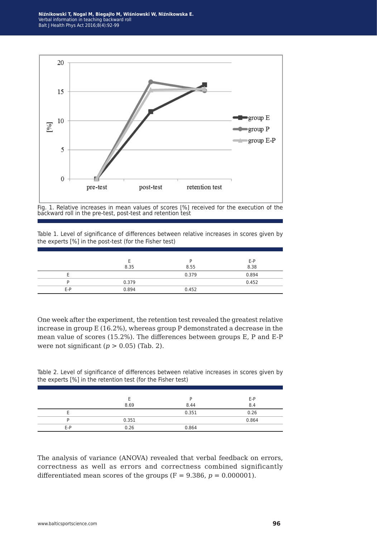**Niźnikowski T, Nogal M, Biegajło M, Wiśniowski W, Niźnikowska E.** Verbal information in teaching backward roll Balt J Health Phys Act 2016;8(4):92-99



Fig. 1. Relative increases in mean values of scores [%] received for the execution of the backward roll in the pre-test, post-test and retention test

Table 1. Level of significance of differences between relative increases in scores given by the experts [%] in the post-test (for the Fisher test)

|     |       |       | E-P   |
|-----|-------|-------|-------|
|     | 8.35  | 8.55  | 8.38  |
|     |       | 0.379 | 0.894 |
|     | 0.379 |       | 0.452 |
| E-P | 0.894 | 0.452 |       |

One week after the experiment, the retention test revealed the greatest relative increase in group E (16.2%), whereas group P demonstrated a decrease in the mean value of scores (15.2%). The differences between groups E, P and E-P were not significant  $(p > 0.05)$  (Tab. 2).

Table 2. Level of significance of differences between relative increases in scores given by the experts [%] in the retention test (for the Fisher test)

|     |       |       | E-P   |
|-----|-------|-------|-------|
|     | 8.69  | 8.44  | 8.4   |
|     |       | 0.351 | 0.26  |
|     | 0.351 |       | 0.864 |
| E-P | 0.26  | 0.864 |       |

The analysis of variance (ANOVA) revealed that verbal feedback on errors, correctness as well as errors and correctness combined significantly differentiated mean scores of the groups  $(F = 9.386, p = 0.000001)$ .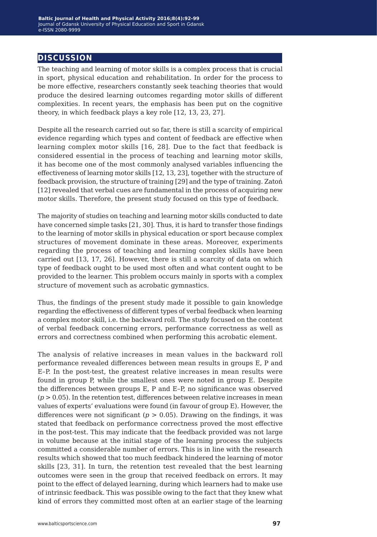# **discussion**

The teaching and learning of motor skills is a complex process that is crucial in sport, physical education and rehabilitation. In order for the process to be more effective, researchers constantly seek teaching theories that would produce the desired learning outcomes regarding motor skills of different complexities. In recent years, the emphasis has been put on the cognitive theory, in which feedback plays a key role [12, 13, 23, 27].

Despite all the research carried out so far, there is still a scarcity of empirical evidence regarding which types and content of feedback are effective when learning complex motor skills [16, 28]. Due to the fact that feedback is considered essential in the process of teaching and learning motor skills, it has become one of the most commonly analysed variables influencing the effectiveness of learning motor skills [12, 13, 23], together with the structure of feedback provision, the structure of training [29] and the type of training. Zatoń [12] revealed that verbal cues are fundamental in the process of acquiring new motor skills. Therefore, the present study focused on this type of feedback.

The majority of studies on teaching and learning motor skills conducted to date have concerned simple tasks [21, 30]. Thus, it is hard to transfer those findings to the learning of motor skills in physical education or sport because complex structures of movement dominate in these areas. Moreover, experiments regarding the process of teaching and learning complex skills have been carried out [13, 17, 26]. However, there is still a scarcity of data on which type of feedback ought to be used most often and what content ought to be provided to the learner. This problem occurs mainly in sports with a complex structure of movement such as acrobatic gymnastics.

Thus, the findings of the present study made it possible to gain knowledge regarding the effectiveness of different types of verbal feedback when learning a complex motor skill, i.e. the backward roll. The study focused on the content of verbal feedback concerning errors, performance correctness as well as errors and correctness combined when performing this acrobatic element.

The analysis of relative increases in mean values in the backward roll performance revealed differences between mean results in groups E, P and E–P. In the post-test, the greatest relative increases in mean results were found in group P, while the smallest ones were noted in group E. Despite the differences between groups E, P and E–P, no significance was observed  $(p > 0.05)$ . In the retention test, differences between relative increases in mean values of experts' evaluations were found (in favour of group E). However, the differences were not significant ( $p > 0.05$ ). Drawing on the findings, it was stated that feedback on performance correctness proved the most effective in the post-test. This may indicate that the feedback provided was not large in volume because at the initial stage of the learning process the subjects committed a considerable number of errors. This is in line with the research results which showed that too much feedback hindered the learning of motor skills [23, 31]. In turn, the retention test revealed that the best learning outcomes were seen in the group that received feedback on errors. It may point to the effect of delayed learning, during which learners had to make use of intrinsic feedback. This was possible owing to the fact that they knew what kind of errors they committed most often at an earlier stage of the learning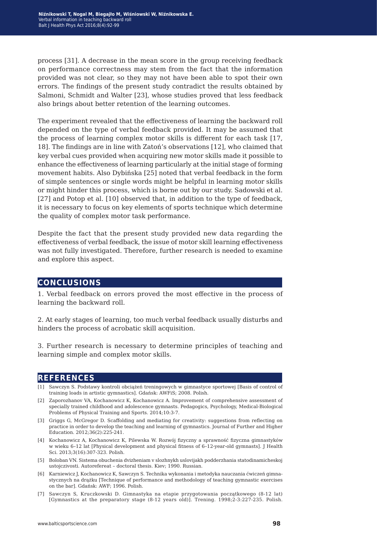process [31]. A decrease in the mean score in the group receiving feedback on performance correctness may stem from the fact that the information provided was not clear, so they may not have been able to spot their own errors. The findings of the present study contradict the results obtained by Salmoni, Schmidt and Walter [23], whose studies proved that less feedback also brings about better retention of the learning outcomes.

The experiment revealed that the effectiveness of learning the backward roll depended on the type of verbal feedback provided. It may be assumed that the process of learning complex motor skills is different for each task [17, 18]. The findings are in line with Zatoń's observations [12], who claimed that key verbal cues provided when acquiring new motor skills made it possible to enhance the effectiveness of learning particularly at the initial stage of forming movement habits. Also Dybińska [25] noted that verbal feedback in the form of simple sentences or single words might be helpful in learning motor skills or might hinder this process, which is borne out by our study. Sadowski et al. [27] and Potop et al. [10] observed that, in addition to the type of feedback, it is necessary to focus on key elements of sports technique which determine the quality of complex motor task performance.

Despite the fact that the present study provided new data regarding the effectiveness of verbal feedback, the issue of motor skill learning effectiveness was not fully investigated. Therefore, further research is needed to examine and explore this aspect.

## **conclusions**

1. Verbal feedback on errors proved the most effective in the process of learning the backward roll.

2. At early stages of learning, too much verbal feedback usually disturbs and hinders the process of acrobatic skill acquisition.

3. Further research is necessary to determine principles of teaching and learning simple and complex motor skills.

## **references**

- [1] Sawczyn S. Podstawy kontroli obciążeń treningowych w gimnastyce sportowej [Basis of control of training loads in artistic gymnastics]. Gdańsk: AWFiS; 2008. Polish.
- [2] Zaporozhanov VA, Kochanowicz K, Kochanowicz A. Improvement of comprehensive assessment of specially trained childhood and adolescence gymnasts. Pedagogics, Psychology, Medical-Biological Problems of Physical Training and Sports. 2014;10:3-7.
- [3] Griggs G, McGregor D. Scaffolding and mediating for creativity: suggestions from reflecting on practice in order to develop the teaching and learning of gymnastics. Journal of Further and Higher Education. 2012;36(2):225-241.
- [4] Kochanowicz A, Kochanowicz K, Pilewska W. Rozwój fizyczny a sprawność fizyczna gimnastyków w wieku 6–12 lat [Physical development and physical fitness of 6–12-year-old gymnasts]. J Health Sci. 2013;3(16):307-323. Polish.
- [5] Boloban VN. Sistema obuchenia dvizheniam v slozhnykh uslovijakh podderzhania statodinamicheskoj ustojczivosti. Autorefereat – doctoral thesis. Kiev; 1990. Russian.
- [6] Karniewicz J, Kochanowicz K, Sawczyn S. Technika wykonania i metodyka nauczania ćwiczeń gimnastycznych na drążku [Technique of performance and methodology of teaching gymnastic exercises on the bar]. Gdańsk: AWF; 1996. Polish.
- [7] Sawczyn S, Kruczkowski D. Gimnastyka na etapie przygotowania początkowego (8-12 lat) [Gymnastics at the preparatory stage (8-12 years old)]. Trening. 1998;2-3:227-235. Polish.